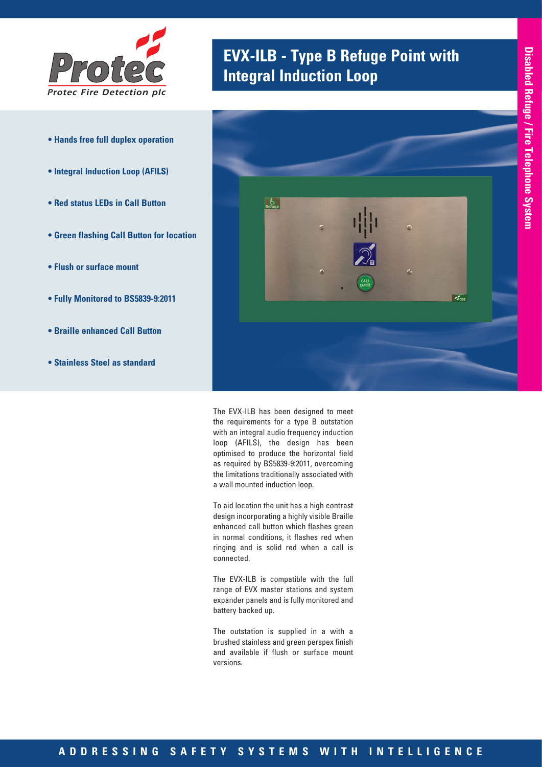

- **Hands free full duplex operation**
- **Integral Induction Loop (AFILS)**
- **Red status LEDs in Call Button**
- **Green flashing Call Button for location**
- **Flush or surface mount**
- **Fully Monitored to BS5839-9:2011**
- **Braille enhanced Call Button**
- **Stainless Steel as standard**

# **EVX-ILB - Type B Refuge Point with** *Integral Induction Loop*



The EVX-ILB has been designed to meet the requirements for a type B outstation with an integral audio frequency induction loop (AFILS), the design has been optimised to produce the horizontal field as required by BS5839-9:2011, overcoming the limitations traditionally associated with a wall mounted induction loop.

To aid location the unit has a high contrast design incorporating a highly visible Braille enhanced call button which flashes green in normal conditions, it flashes red when ringing and is solid red when a call is connected.

The EVX-ILB is compatible with the full range of EVX master stations and system expander panels and is fully monitored and battery backed up.

The outstation is supplied in a with a brushed stainless and green perspex finish and available if flush or surface mount versions.